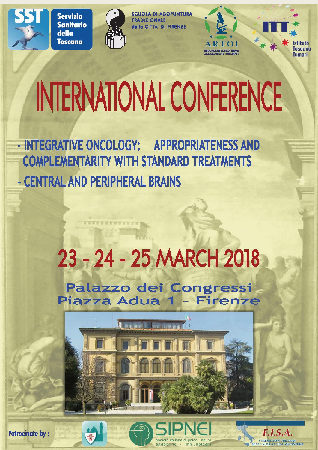

**Servizio Sanitario** della **Toscana** 



**SCUOLA DI AGOPUNTURA TRADIZIONALE** della CITTA' DI FIRENZE



**Toscano Tumori** 

# INTERNATIONAL CONFERENCE

- INTEGRATIVE ONCOLOGY: APPROPRIATENESS AND **COMPLEMENTARITY WITH STANDARD TREATMENTS** - CENTRAL AND PERIPHERAL BRAINS

**STERBERNHUMS** 

# 23 - 24 - 25 MARCH 2018

Palazzo dei Congressi Piazza Adua 1 - Firenze





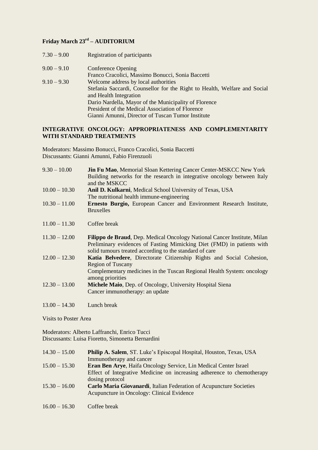# **Friday March 23rd – AUDITORIUM**

- 7.30 9.00 Registration of participants
- 9.00 9.10 Conference Opening Franco Cracolici, Massimo Bonucci, Sonia Baccetti 9.10 – 9.30 Welcome address by local authorities Stefania Saccardi, Counsellor for the Right to Health, Welfare and Social and Health Integration Dario Nardella, Mayor of the Municipality of Florence President of the Medical Association of Florence Gianni Amunni, Director of Tuscan Tumor Institute

#### **INTEGRATIVE ONCOLOGY: APPROPRIATENESS AND COMPLEMENTARITY WITH STANDARD TREATMENTS**

Moderators: Massimo Bonucci, Franco Cracolici, Sonia Baccetti Discussants: Gianni Amunni, Fabio Firenzuoli

| $9.30 - 10.00$  | <b>Jin Fu Mao, Memorial Sloan Kettering Cancer Center-MSKCC New York</b><br>Building networks for the research in integrative oncology between Italy<br>and the MSKCC                                         |
|-----------------|---------------------------------------------------------------------------------------------------------------------------------------------------------------------------------------------------------------|
| $10.00 - 10.30$ | Anil D. Kulkarni, Medical School University of Texas, USA                                                                                                                                                     |
|                 | The nutritional health immune-engineering                                                                                                                                                                     |
| $10.30 - 11.00$ | Ernesto Burgio, European Cancer and Environment Research Institute,                                                                                                                                           |
|                 | <b>Bruxelles</b>                                                                                                                                                                                              |
| $11.00 - 11.30$ | Coffee break                                                                                                                                                                                                  |
| $11.30 - 12.00$ | Filippo de Braud, Dep. Medical Oncology National Cancer Institute, Milan<br>Preliminary evidences of Fasting Mimicking Diet (FMD) in patients with<br>solid tumours treated according to the standard of care |
| $12.00 - 12.30$ | Katia Belvedere, Directorate Citizenship Rights and Social Cohesion,                                                                                                                                          |
|                 | <b>Region of Tuscany</b>                                                                                                                                                                                      |
|                 | Complementary medicines in the Tuscan Regional Health System: oncology                                                                                                                                        |
|                 | among priorities                                                                                                                                                                                              |
| $12.30 - 13.00$ | Michele Maio, Dep. of Oncology, University Hospital Siena                                                                                                                                                     |
|                 | Cancer immunotherapy: an update                                                                                                                                                                               |
|                 |                                                                                                                                                                                                               |
| $13.00 - 14.30$ | Lunch break                                                                                                                                                                                                   |

Visits to Poster Area

Moderators: Alberto Laffranchi, Enrico Tucci Discussants: Luisa Fioretto, Simonetta Bernardini

| Effect of Integrative Medicine on increasing adherence to chemotherapy |
|------------------------------------------------------------------------|
|                                                                        |
|                                                                        |
|                                                                        |
|                                                                        |
|                                                                        |

16.00 – 16.30 Coffee break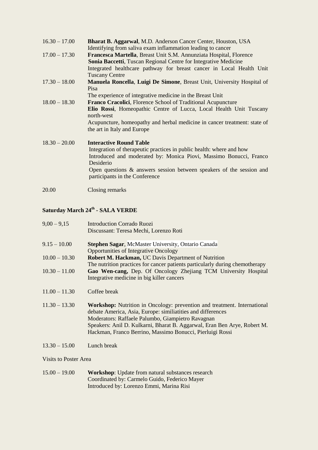| <b>Bharat B. Aggarwal, M.D. Anderson Cancer Center, Houston, USA</b><br>Identifying from saliva exam inflammation leading to cancer                                                                                                                                                                    |
|--------------------------------------------------------------------------------------------------------------------------------------------------------------------------------------------------------------------------------------------------------------------------------------------------------|
| Francesca Martella, Breast Unit S.M. Annunziata Hospital, Florence<br><b>Sonia Baccetti, Tuscan Regional Centre for Integrative Medicine</b>                                                                                                                                                           |
| Integrated healthcare pathway for breast cancer in Local Health Unit<br><b>Tuscany Centre</b>                                                                                                                                                                                                          |
| <b>Manuela Roncella, Luigi De Simone, Breast Unit, University Hospital of</b>                                                                                                                                                                                                                          |
| Pisa<br>The experience of integrative medicine in the Breast Unit                                                                                                                                                                                                                                      |
| <b>Franco Cracolici, Florence School of Traditional Acupuncture</b><br>Elio Rossi, Homeopathic Centre of Lucca, Local Health Unit Tuscany<br>north-west                                                                                                                                                |
| Acupuncture, homeopathy and herbal medicine in cancer treatment: state of<br>the art in Italy and Europe                                                                                                                                                                                               |
| <b>Interactive Round Table</b><br>Integration of therapeutic practices in public health: where and how<br>Introduced and moderated by: Monica Piovi, Massimo Bonucci, Franco<br>Desiderio<br>Open questions $\&$ answers session between speakers of the session and<br>participants in the Conference |
|                                                                                                                                                                                                                                                                                                        |

20.00 Closing remarks

# **Saturday March 24th - SALA VERDE**

| $9,00 - 9,15$   | <b>Introduction Corrado Ruozi</b><br>Discussant: Teresa Mechi, Lorenzo Roti                                                                                                                                                                                                                                                           |
|-----------------|---------------------------------------------------------------------------------------------------------------------------------------------------------------------------------------------------------------------------------------------------------------------------------------------------------------------------------------|
| $9.15 - 10.00$  | <b>Stephen Sagar, McMaster University, Ontario Canada</b><br><b>Opportunities of Integrative Oncology</b>                                                                                                                                                                                                                             |
| $10.00 - 10.30$ | <b>Robert M. Hackman, UC Davis Department of Nutrition</b>                                                                                                                                                                                                                                                                            |
|                 | The nutrition practices for cancer patients particularly during chemotherapy                                                                                                                                                                                                                                                          |
| $10.30 - 11.00$ | Gao Wen-cang, Dep. Of Oncology Zhejiang TCM University Hospital<br>Integrative medicine in big killer cancers                                                                                                                                                                                                                         |
| $11.00 - 11.30$ | Coffee break                                                                                                                                                                                                                                                                                                                          |
| $11.30 - 13.30$ | Workshop: Nutrition in Oncology: prevention and treatment. International<br>debate America, Asia, Europe: similiatities and differences<br>Moderators: Raffaele Palumbo, Giampietro Ravagnan<br>Speakers: Anil D. Kulkarni, Bharat B. Aggarwal, Eran Ben Arye, Robert M.<br>Hackman, Franco Berrino, Massimo Bonucci, Pierluigi Rossi |

13.30 – 15.00 Lunch break

Visits to Poster Area

| $15.00 - 19.00$ | <b>Workshop:</b> Update from natural substances research |
|-----------------|----------------------------------------------------------|
|                 | Coordinated by: Carmelo Guido, Federico Mayer            |
|                 | Introduced by: Lorenzo Emmi, Marina Risi                 |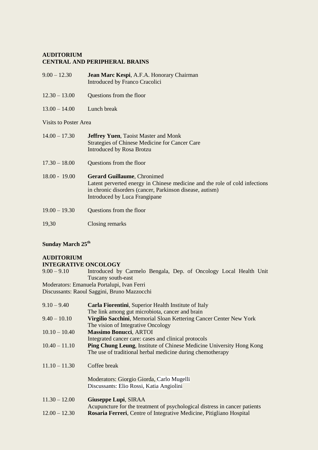# **AUDITORIUM CENTRAL AND PERIPHERAL BRAINS**

- 9.00 12.30 **Jean Marc Kespi**, A.F.A. Honorary Chairman Introduced by Franco Cracolici
- 12.30 13.00 Questions from the floor
- 13.00 14.00 Lunch break

# Visits to Poster Area

| $14.00 - 17.30$ | <b>Jeffrey Yuen, Taoist Master and Monk</b><br>Strategies of Chinese Medicine for Cancer Care<br><b>Introduced by Rosa Brotzu</b>                                                                              |
|-----------------|----------------------------------------------------------------------------------------------------------------------------------------------------------------------------------------------------------------|
| $17.30 - 18.00$ | Questions from the floor                                                                                                                                                                                       |
| $18.00 - 19.00$ | <b>Gerard Guillaume, Chronimed</b><br>Latent perverted energy in Chinese medicine and the role of cold infections<br>in chronic disorders (cancer, Parkinson disease, autism)<br>Introduced by Luca Frangipane |
| $19.00 - 19.30$ | Questions from the floor                                                                                                                                                                                       |
| 19,30           | Closing remarks                                                                                                                                                                                                |

# **Sunday March 25th**

# **AUDITORIUM**

### **INTEGRATIVE ONCOLOGY**

9.00 – 9.10 Introduced by Carmelo Bengala, Dep. of Oncology Local Health Unit Tuscany south-east

Moderators: Emanuela Portalupi, Ivan Ferri

Discussants: Raoul Saggini, Bruno Mazzocchi

| $9.10 - 9.40$   | <b>Carla Fiorentini, Superior Health Institute of Italy</b>                 |
|-----------------|-----------------------------------------------------------------------------|
|                 | The link among gut microbiota, cancer and brain                             |
| $9.40 - 10.10$  | Virgilio Sacchini, Memorial Sloan Kettering Cancer Center New York          |
|                 | The vision of Integrative Oncology                                          |
| $10.10 - 10.40$ | <b>Massimo Bonucci, ARTOI</b>                                               |
|                 | Integrated cancer care: cases and clinical protocols                        |
| $10.40 - 11.10$ | <b>Ping Chung Leung, Institute of Chinese Medicine University Hong Kong</b> |
|                 | The use of traditional herbal medicine during chemotherapy                  |
| $11.10 - 11.30$ | Coffee break                                                                |
|                 | Moderators: Giorgio Giorda, Carlo Mugelli                                   |
|                 | Discussants: Elio Rossi, Katia Angiolini                                    |
|                 |                                                                             |
| $11.30 - 12.00$ | Giuseppe Lupi, SIRAA                                                        |
|                 | Acupuncture for the treatment of psychological distress in cancer patients  |
| $12.00 - 12.30$ | <b>Rosaria Ferreri, Centre of Integrative Medicine, Pitigliano Hospital</b> |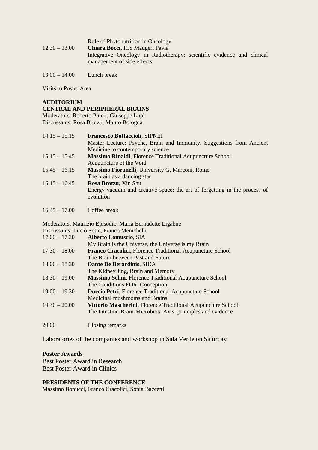|                 | Role of Phytonutrition in Oncology                                     |
|-----------------|------------------------------------------------------------------------|
| $12.30 - 13.00$ | <b>Chiara Bocci, ICS Maugeri Pavia</b>                                 |
|                 | Integrative Oncology in Radiotherapy: scientific evidence and clinical |
|                 | management of side effects                                             |
|                 |                                                                        |

13.00 – 14.00 Lunch break

Visits to Poster Area

# **AUDITORIUM CENTRAL AND PERIPHERAL BRAINS**

Moderators: Roberto Pulcri, Giuseppe Lupi Discussants: Rosa Brotzu, Mauro Bologna

| $14.15 - 15.15$ | <b>Francesco Bottaccioli, SIPNEI</b>                                                   |
|-----------------|----------------------------------------------------------------------------------------|
|                 | Master Lecture: Psyche, Brain and Immunity. Suggestions from Ancient                   |
|                 | Medicine to contemporary science                                                       |
| $15.15 - 15.45$ | Massimo Rinaldi, Florence Traditional Acupuncture School                               |
|                 | Acupuncture of the Void                                                                |
| $15.45 - 16.15$ | Massimo Fioranelli, University G. Marconi, Rome                                        |
|                 | The brain as a dancing star                                                            |
| $16.15 - 16.45$ | Rosa Brotzu, Xin Shu                                                                   |
|                 | Energy vacuum and creative space: the art of forgetting in the process of<br>evolution |

16.45 – 17.00 Coffee break

Moderators: Maurizio Episodio, Maria Bernadette Ligabue Discussants: Lucio Sotte, Franco Menichelli

| $17.00 - 17.30$ | <b>Alberto Lomuscio, SIA</b>                                  |
|-----------------|---------------------------------------------------------------|
|                 | My Brain is the Universe, the Universe is my Brain            |
| $17.30 - 18.00$ | Franco Cracolici, Florence Traditional Acupuncture School     |
|                 | The Brain between Past and Future                             |
| $18.00 - 18.30$ | Dante De Berardinis, SIDA                                     |
|                 | The Kidney Jing, Brain and Memory                             |
| $18.30 - 19.00$ | <b>Massimo Selmi, Florence Traditional Acupuncture School</b> |
|                 | The Conditions FOR Conception                                 |
| $19.00 - 19.30$ | <b>Duccio Petri, Florence Traditional Acupuncture School</b>  |
|                 | Medicinal mushrooms and Brains                                |
| $19.30 - 20.00$ | Vittorio Mascherini, Florence Traditional Acupuncture School  |
|                 | The Intestine-Brain-Microbiota Axis: principles and evidence  |
|                 |                                                               |
|                 |                                                               |

20.00 Closing remarks

Laboratories of the companies and workshop in Sala Verde on Saturday

# **Poster Awards**

Best Poster Award in Research Best Poster Award in Clinics

#### **PRESIDENTS OF THE CONFERENCE**

Massimo Bonucci, Franco Cracolici, Sonia Baccetti